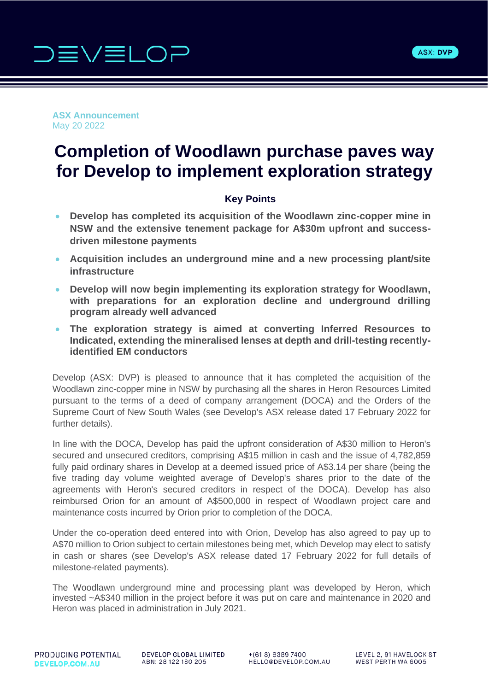



**ASX Announcement** May 20 2022

# **Completion of Woodlawn purchase paves way for Develop to implement exploration strategy**

# **Key Points**

- **Develop has completed its acquisition of the Woodlawn zinc-copper mine in NSW and the extensive tenement package for A\$30m upfront and successdriven milestone payments**
- **Acquisition includes an underground mine and a new processing plant/site infrastructure**
- **Develop will now begin implementing its exploration strategy for Woodlawn, with preparations for an exploration decline and underground drilling program already well advanced**
- **The exploration strategy is aimed at converting Inferred Resources to Indicated, extending the mineralised lenses at depth and drill-testing recentlyidentified EM conductors**

Develop (ASX: DVP) is pleased to announce that it has completed the acquisition of the Woodlawn zinc-copper mine in NSW by purchasing all the shares in Heron Resources Limited pursuant to the terms of a deed of company arrangement (DOCA) and the Orders of the Supreme Court of New South Wales (see Develop's ASX release dated 17 February 2022 for further details).

In line with the DOCA, Develop has paid the upfront consideration of A\$30 million to Heron's secured and unsecured creditors, comprising A\$15 million in cash and the issue of 4,782,859 fully paid ordinary shares in Develop at a deemed issued price of A\$3.14 per share (being the five trading day volume weighted average of Develop's shares prior to the date of the agreements with Heron's secured creditors in respect of the DOCA). Develop has also reimbursed Orion for an amount of A\$500,000 in respect of Woodlawn project care and maintenance costs incurred by Orion prior to completion of the DOCA.

Under the co-operation deed entered into with Orion, Develop has also agreed to pay up to A\$70 million to Orion subject to certain milestones being met, which Develop may elect to satisfy in cash or shares (see Develop's ASX release dated 17 February 2022 for full details of milestone-related payments).

The Woodlawn underground mine and processing plant was developed by Heron, which invested ~A\$340 million in the project before it was put on care and maintenance in 2020 and Heron was placed in administration in July 2021.

PRODUCING POTENTIAL **DEVELOP.COM.AU** 

DEVELOP GLOBAL LIMITED ABN: 28 122 180 205

 $+(618) 6389 7400$ HELLO@DEVELOP.COM.AU